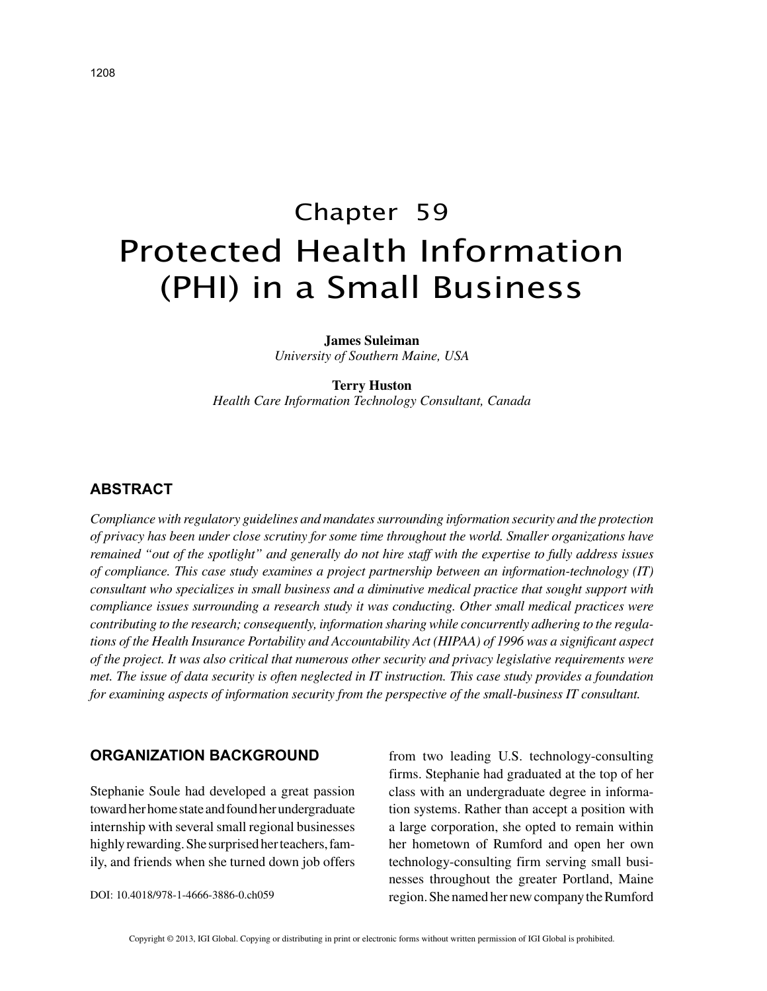# Chapter 59 Protected Health Information (PHI) in a Small Business

**James Suleiman** *University of Southern Maine, USA*

#### **Terry Huston**

*Health Care Information Technology Consultant, Canada*

### **ABSTRACT**

*Compliance with regulatory guidelines and mandates surrounding information security and the protection of privacy has been under close scrutiny for some time throughout the world. Smaller organizations have remained "out of the spotlight" and generally do not hire staff with the expertise to fully address issues of compliance. This case study examines a project partnership between an information-technology (IT) consultant who specializes in small business and a diminutive medical practice that sought support with compliance issues surrounding a research study it was conducting. Other small medical practices were contributing to the research; consequently, information sharing while concurrently adhering to the regulations of the Health Insurance Portability and Accountability Act (HIPAA) of 1996 was a significant aspect of the project. It was also critical that numerous other security and privacy legislative requirements were met. The issue of data security is often neglected in IT instruction. This case study provides a foundation for examining aspects of information security from the perspective of the small-business IT consultant.*

### **ORGANIZATION BACKGROUND**

Stephanie Soule had developed a great passion toward her home state and found her undergraduate internship with several small regional businesses highly rewarding. She surprised her teachers, family, and friends when she turned down job offers

DOI: 10.4018/978-1-4666-3886-0.ch059

from two leading U.S. technology-consulting firms. Stephanie had graduated at the top of her class with an undergraduate degree in information systems. Rather than accept a position with a large corporation, she opted to remain within her hometown of Rumford and open her own technology-consulting firm serving small businesses throughout the greater Portland, Maine region. She named her new company the Rumford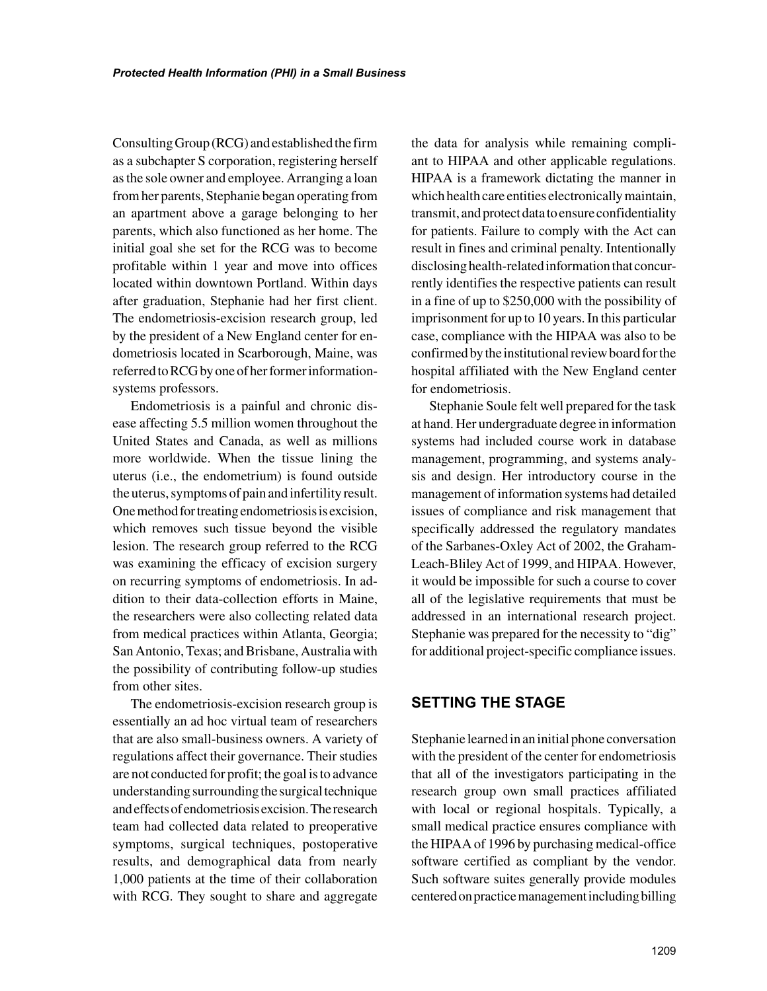Consulting Group (RCG) and established the firm as a subchapter S corporation, registering herself as the sole owner and employee. Arranging a loan from her parents, Stephanie began operating from an apartment above a garage belonging to her parents, which also functioned as her home. The initial goal she set for the RCG was to become profitable within 1 year and move into offices located within downtown Portland. Within days after graduation, Stephanie had her first client. The endometriosis-excision research group, led by the president of a New England center for endometriosis located in Scarborough, Maine, was referred to RCG by one of her former informationsystems professors.

Endometriosis is a painful and chronic disease affecting 5.5 million women throughout the United States and Canada, as well as millions more worldwide. When the tissue lining the uterus (i.e., the endometrium) is found outside the uterus, symptoms of pain and infertility result. One method for treating endometriosis is excision, which removes such tissue beyond the visible lesion. The research group referred to the RCG was examining the efficacy of excision surgery on recurring symptoms of endometriosis. In addition to their data-collection efforts in Maine, the researchers were also collecting related data from medical practices within Atlanta, Georgia; San Antonio, Texas; and Brisbane, Australia with the possibility of contributing follow-up studies from other sites.

The endometriosis-excision research group is essentially an ad hoc virtual team of researchers that are also small-business owners. A variety of regulations affect their governance. Their studies are not conducted for profit; the goal is to advance understanding surrounding the surgical technique and effects of endometriosis excision. The research team had collected data related to preoperative symptoms, surgical techniques, postoperative results, and demographical data from nearly 1,000 patients at the time of their collaboration with RCG. They sought to share and aggregate

the data for analysis while remaining compliant to HIPAA and other applicable regulations. HIPAA is a framework dictating the manner in which health care entities electronically maintain, transmit, and protect data to ensure confidentiality for patients. Failure to comply with the Act can result in fines and criminal penalty. Intentionally disclosing health-related information that concurrently identifies the respective patients can result in a fine of up to \$250,000 with the possibility of imprisonment for up to 10 years. In this particular case, compliance with the HIPAA was also to be confirmed by the institutional review board for the hospital affiliated with the New England center for endometriosis.

Stephanie Soule felt well prepared for the task at hand. Her undergraduate degree in information systems had included course work in database management, programming, and systems analysis and design. Her introductory course in the management of information systems had detailed issues of compliance and risk management that specifically addressed the regulatory mandates of the Sarbanes-Oxley Act of 2002, the Graham-Leach-Bliley Act of 1999, and HIPAA. However, it would be impossible for such a course to cover all of the legislative requirements that must be addressed in an international research project. Stephanie was prepared for the necessity to "dig" for additional project-specific compliance issues.

# **SETTING THE STAGE**

Stephanie learned in an initial phone conversation with the president of the center for endometriosis that all of the investigators participating in the research group own small practices affiliated with local or regional hospitals. Typically, a small medical practice ensures compliance with the HIPAA of 1996 by purchasing medical-office software certified as compliant by the vendor. Such software suites generally provide modules centered on practice management including billing